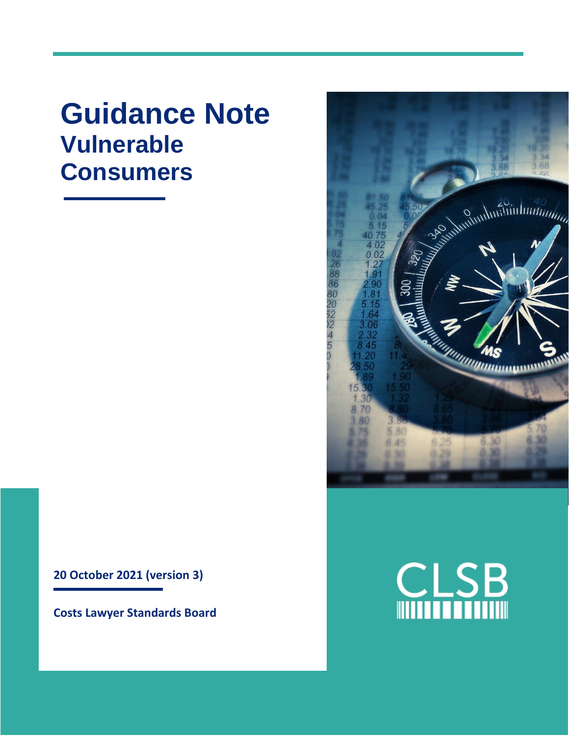# **Guidance Note Vulnerable Consumers**



**Costs Lawyer Standards Board**



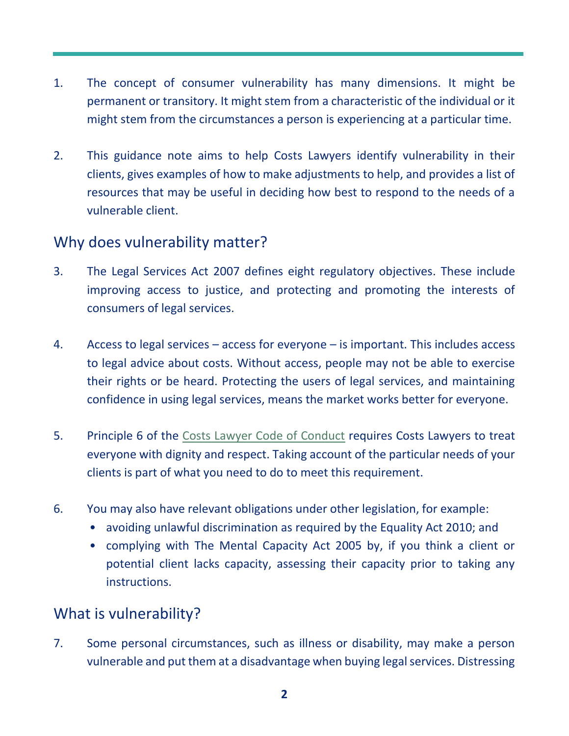- 1. The concept of consumer vulnerability has many dimensions. It might be permanent or transitory. It might stem from a characteristic of the individual or it might stem from the circumstances a person is experiencing at a particular time.
- 2. This guidance note aims to help Costs Lawyers identify vulnerability in their clients, gives examples of how to make adjustments to help, and provides a list of resources that may be useful in deciding how best to respond to the needs of a vulnerable client.

### Why does vulnerability matter?

- 3. The Legal Services Act 2007 defines eight regulatory objectives. These include improving access to justice, and protecting and promoting the interests of consumers of legal services.
- 4. Access to legal services access for everyone is important. This includes access to legal advice about costs. Without access, people may not be able to exercise their rights or be heard. Protecting the users of legal services, and maintaining confidence in using legal services, means the market works better for everyone.
- 5. Principle 6 of the [Costs Lawyer Code of Conduct](https://clsb.info/for-costs-lawyers/costs-lawyer-handbook/) requires Costs Lawyers to treat everyone with dignity and respect. Taking account of the particular needs of your clients is part of what you need to do to meet this requirement.
- 6. You may also have relevant obligations under other legislation, for example:
	- avoiding unlawful discrimination as required by the Equality Act 2010; and
	- complying with The Mental Capacity Act 2005 by, if you think a client or potential client lacks capacity, assessing their capacity prior to taking any instructions.

## What is vulnerability?

7. Some personal circumstances, such as illness or disability, may make a person vulnerable and put them at a disadvantage when buying legal services. Distressing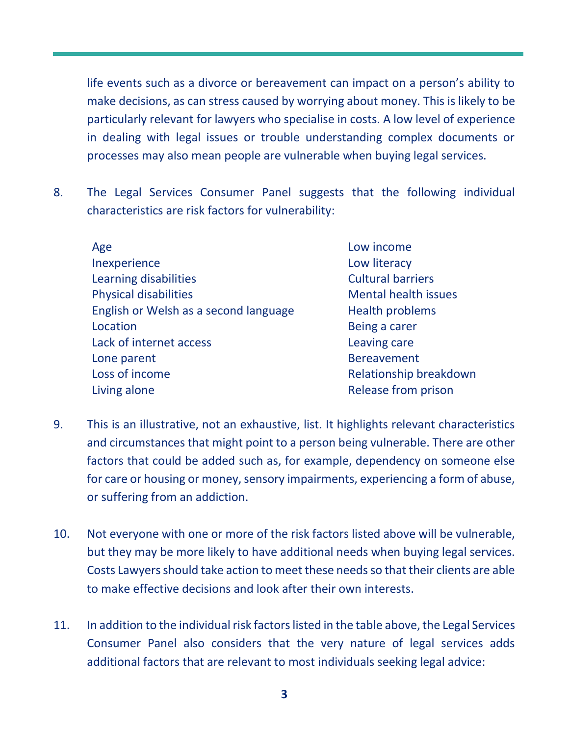life events such as a divorce or bereavement can impact on a person's ability to make decisions, as can stress caused by worrying about money. This is likely to be particularly relevant for lawyers who specialise in costs. A low level of experience in dealing with legal issues or trouble understanding complex documents or processes may also mean people are vulnerable when buying legal services.

- 8. The Legal Services Consumer Panel suggests that the following individual characteristics are risk factors for vulnerability:
	- Age **Low** income Inexperience Low literacy Learning disabilities **Cultural barriers** Cultural barriers Physical disabilities Mental health issues English or Welsh as a second language Health problems Location **Being a carer** Lack of internet access Leaving care Lone parent and the set of the Bereavement Loss of income **Relationship breakdown** Living alone **Release from prison** 
		-
- 9. This is an illustrative, not an exhaustive, list. It highlights relevant characteristics and circumstances that might point to a person being vulnerable. There are other factors that could be added such as, for example, dependency on someone else for care or housing or money, sensory impairments, experiencing a form of abuse, or suffering from an addiction.
- 10. Not everyone with one or more of the risk factors listed above will be vulnerable, but they may be more likely to have additional needs when buying legal services. Costs Lawyers should take action to meet these needs so that their clients are able to make effective decisions and look after their own interests.
- 11. In addition to the individual risk factors listed in the table above, the Legal Services Consumer Panel also considers that the very nature of legal services adds additional factors that are relevant to most individuals seeking legal advice: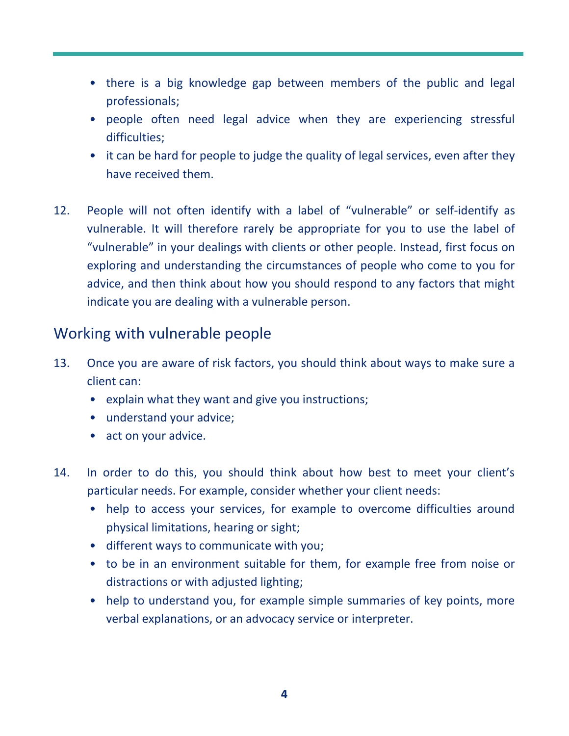- there is a big knowledge gap between members of the public and legal professionals;
- people often need legal advice when they are experiencing stressful difficulties;
- it can be hard for people to judge the quality of legal services, even after they have received them.
- 12. People will not often identify with a label of "vulnerable" or self-identify as vulnerable. It will therefore rarely be appropriate for you to use the label of "vulnerable" in your dealings with clients or other people. Instead, first focus on exploring and understanding the circumstances of people who come to you for advice, and then think about how you should respond to any factors that might indicate you are dealing with a vulnerable person.

#### Working with vulnerable people

- 13. Once you are aware of risk factors, you should think about ways to make sure a client can:
	- explain what they want and give you instructions;
	- understand your advice;
	- act on your advice.
- 14. In order to do this, you should think about how best to meet your client's particular needs. For example, consider whether your client needs:
	- help to access your services, for example to overcome difficulties around physical limitations, hearing or sight;
	- different ways to communicate with you;
	- to be in an environment suitable for them, for example free from noise or distractions or with adjusted lighting;
	- help to understand you, for example simple summaries of key points, more verbal explanations, or an advocacy service or interpreter.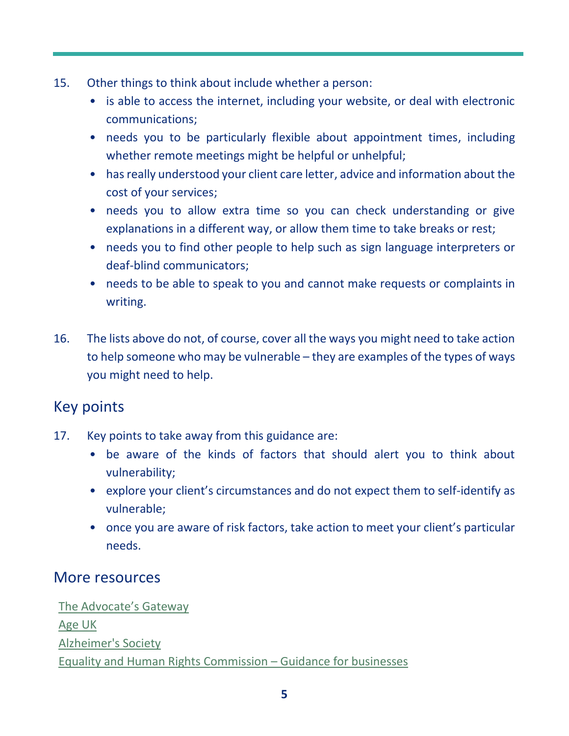- 15. Other things to think about include whether a person:
	- is able to access the internet, including your website, or deal with electronic communications;
	- needs you to be particularly flexible about appointment times, including whether remote meetings might be helpful or unhelpful;
	- has really understood your client care letter, advice and information about the cost of your services;
	- needs you to allow extra time so you can check understanding or give explanations in a different way, or allow them time to take breaks or rest;
	- needs you to find other people to help such as sign language interpreters or deaf-blind communicators;
	- needs to be able to speak to you and cannot make requests or complaints in writing.
- 16. The lists above do not, of course, cover all the ways you might need to take action to help someone who may be vulnerable – they are examples of the types of ways you might need to help.

## Key points

- 17. Key points to take away from this guidance are:
	- be aware of the kinds of factors that should alert you to think about vulnerability;
	- explore your client's circumstances and do not expect them to self-identify as vulnerable;
	- once you are aware of risk factors, take action to meet your client's particular needs.

#### More resources

[The Advocate](https://www.theadvocatesgateway.org/)'s Gateway [Age UK](https://www.ageuk.org.uk/services/) [Alzheimer's Society](http://www.alzheimers.org.uk/) [Equality and Human Rights](https://www.equalityhumanrights.com/en/advice-and-guidance/guidance-businesses) Commission – Guidance for businesses